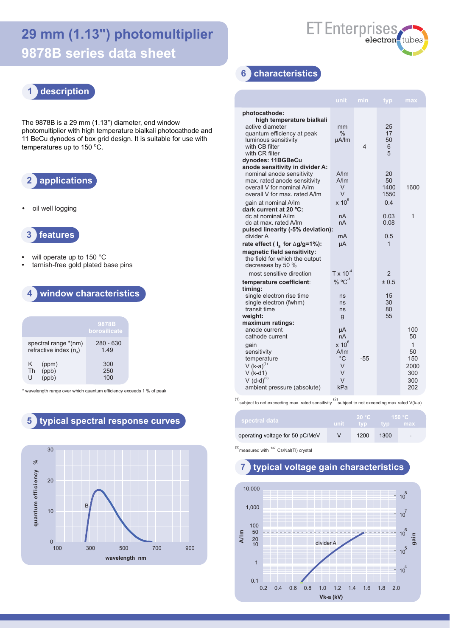# **29 mm (1.13") photomultiplier 9878B series data sheet**



## **1 description**

The 9878B is a 29 mm (1.13") diameter, end window photomultiplier with high temperature bialkali photocathode and 11 BeCu dynodes of box grid design. It is suitable for use with temperatures up to 150 °C.

### **2 applications**

**•** oil well logging



- **•** will operate up to 150 °C
- **•** tarnish-free gold plated base pins

### **4 window characteristics**

|                                                  | 9878B<br>borosilicate |
|--------------------------------------------------|-----------------------|
| spectral range *(nm)<br>refractive index $(n_a)$ | $280 - 630$<br>149    |
| K.<br>(ppm)<br>(ppb)<br><b>Th</b><br>U           | 300<br>250<br>100     |

\* wavelength range over which quantum efficiency exceeds 1 % of peak

#### **5 typical spectral response curves**



#### **6 characteristics**

| <b>unit</b>                                                       | min                                                                 | typ.                          | max                                                                 |
|-------------------------------------------------------------------|---------------------------------------------------------------------|-------------------------------|---------------------------------------------------------------------|
| mm<br>$\%$<br>µA/lm                                               | 4                                                                   | 25<br>17<br>50<br>6<br>5      |                                                                     |
| A/m<br>A/Im<br>V<br>V                                             |                                                                     | 20<br>50<br>1400<br>1550      | 1600                                                                |
| nA<br>nA<br>mA                                                    |                                                                     | 0.03<br>0.08<br>0.5           | 1                                                                   |
| μA                                                                |                                                                     | $\mathbf 1$                   |                                                                     |
| $% °C^{-1}$<br>ns<br>ns<br>ns<br>g                                |                                                                     | ± 0.5<br>15<br>30<br>80<br>55 |                                                                     |
| μA<br>nA<br>$x 10^6$<br>A/Im<br>$^{\circ}C$<br>V<br>V<br>V<br>kPa | -55                                                                 |                               | 100<br>50<br>$\mathbf{1}$<br>50<br>150<br>2000<br>300<br>300<br>202 |
|                                                                   | $x 10^6$<br>pulsed linearity (-5% deviation):<br>$T \times 10^{-4}$ |                               | 0.4<br>2                                                            |

(1) subject to not exceeding max. rated sensitivity  $\binom{2}{3}$  subject to not exceeding max rated V(k-a)

| spectral data                   | ⊤unit ∶ | 20 °C<br>$\geq$ typ $\geq$ | — tvp ⊹ | ⊢150 °C '<br>– max       |  |
|---------------------------------|---------|----------------------------|---------|--------------------------|--|
| operating voltage for 50 pC/MeV |         | 1200                       | 1300    | $\overline{\phantom{0}}$ |  |

 $^{(3)}$  measured with  $^{137}$  Cs/Nal(Tl) crystal

#### **7 typical voltage gain characteristics**